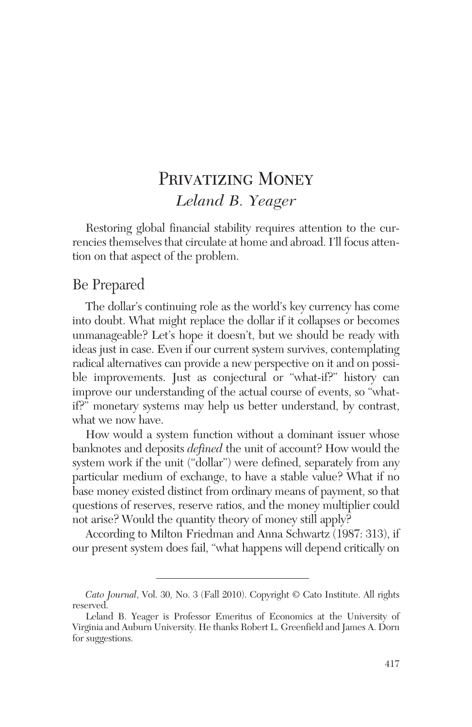# PRIVATIZING MONEY *Leland B. Yeager*

Restoring global financial stability requires attention to the currencies themselves that circulate at home and abroad. I'll focus attention on that aspect of the problem.

### Be Prepared

The dollar's continuing role as the world's key currency has come into doubt. What might replace the dollar if it collapses or becomes unmanageable? Let's hope it doesn't, but we should be ready with ideas just in case. Even if our current system survives, contemplating radical alternatives can provide a new perspective on it and on possible improvements. Just as conjectural or "what-if?" history can improve our understanding of the actual course of events, so "whatif?" monetary systems may help us better understand, by contrast, what we now have.

How would a system function without a dominant issuer whose banknotes and deposits *defined* the unit of account? How would the system work if the unit ("dollar") were defined, separately from any particular medium of exchange, to have a stable value? What if no base money existed distinct from ordinary means of payment, so that questions of reserves, reserve ratios, and the money multiplier could not arise? Would the quantity theory of money still apply?

According to Milton Friedman and Anna Schwartz (1987: 313), if our present system does fail, "what happens will depend critically on

*Cato Journal*, Vol. 30, No. 3 (Fall 2010). Copyright © Cato Institute. All rights reserved.

Leland B. Yeager is Professor Emeritus of Economics at the University of Virginia and Auburn University. He thanks Robert L. Greenfield and James A. Dorn for suggestions.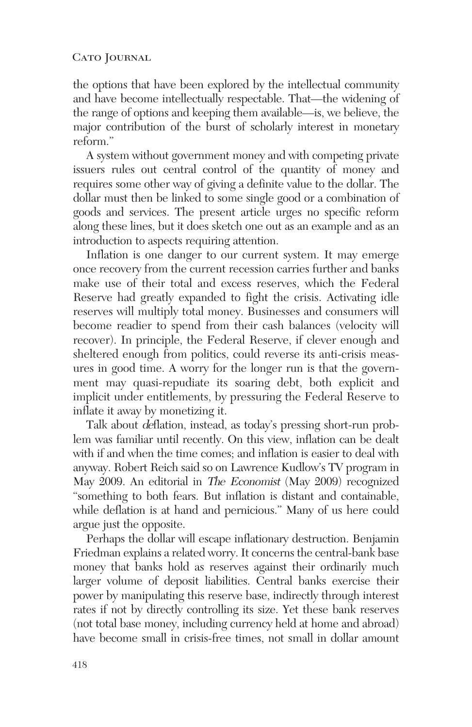the options that have been explored by the intellectual community and have become intellectually respectable. That—the widening of the range of options and keeping them available—is, we believe, the major contribution of the burst of scholarly interest in monetary reform."

A system without government money and with competing private issuers rules out central control of the quantity of money and requires some other way of giving a definite value to the dollar. The dollar must then be linked to some single good or a combination of goods and services. The present article urges no specific reform along these lines, but it does sketch one out as an example and as an introduction to aspects requiring attention.

Inflation is one danger to our current system. It may emerge once recovery from the current recession carries further and banks make use of their total and excess reserves, which the Federal Reserve had greatly expanded to fight the crisis. Activating idle reserves will multiply total money. Businesses and consumers will become readier to spend from their cash balances (velocity will recover). In principle, the Federal Reserve, if clever enough and sheltered enough from politics, could reverse its anti-crisis measures in good time. A worry for the longer run is that the government may quasi-repudiate its soaring debt, both explicit and implicit under entitlements, by pressuring the Federal Reserve to inflate it away by monetizing it.

Talk about deflation, instead, as today's pressing short-run problem was familiar until recently. On this view, inflation can be dealt with if and when the time comes; and inflation is easier to deal with anyway. Robert Reich said so on Lawrence Kudlow's TV program in May 2009. An editorial in The Economist (May 2009) recognized "something to both fears. But inflation is distant and containable, while deflation is at hand and pernicious." Many of us here could argue just the opposite.

Perhaps the dollar will escape inflationary destruction. Benjamin Friedman explains a related worry. It concerns the central-bank base money that banks hold as reserves against their ordinarily much larger volume of deposit liabilities. Central banks exercise their power by manipulating this reserve base, indirectly through interest rates if not by directly controlling its size. Yet these bank reserves (not total base money, including currency held at home and abroad) have become small in crisis-free times, not small in dollar amount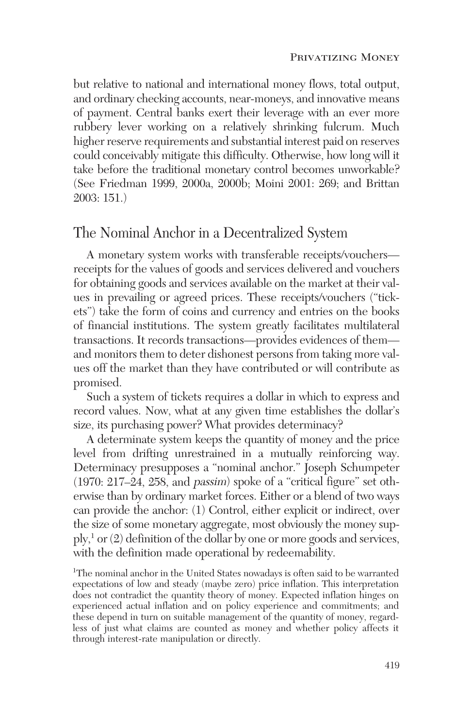but relative to national and international money flows, total output, and ordinary checking accounts, near-moneys, and innovative means of payment. Central banks exert their leverage with an ever more rubbery lever working on a relatively shrinking fulcrum. Much higher reserve requirements and substantial interest paid on reserves could conceivably mitigate this difficulty. Otherwise, how long will it take before the traditional monetary control becomes unworkable? (See Friedman 1999, 2000a, 2000b; Moini 2001: 269; and Brittan 2003: 151.)

### The Nominal Anchor in a Decentralized System

A monetary system works with transferable receipts/vouchers receipts for the values of goods and services delivered and vouchers for obtaining goods and services available on the market at their values in prevailing or agreed prices. These receipts/vouchers ("tickets") take the form of coins and currency and entries on the books of financial institutions. The system greatly facilitates multilateral transactions. It records transactions—provides evidences of them and monitors them to deter dishonest persons from taking more values off the market than they have contributed or will contribute as promised.

Such a system of tickets requires a dollar in which to express and record values. Now, what at any given time establishes the dollar's size, its purchasing power? What provides determinacy?

A determinate system keeps the quantity of money and the price level from drifting unrestrained in a mutually reinforcing way. Determinacy presupposes a "nominal anchor." Joseph Schumpeter (1970: 217–24, 258, and passim) spoke of a "critical figure" set otherwise than by ordinary market forces. Either or a blend of two ways can provide the anchor: (1) Control, either explicit or indirect, over the size of some monetary aggregate, most obviously the money sup- $\text{ply}$ <sup>1</sup> or (2) definition of the dollar by one or more goods and services, with the definition made operational by redeemability.

<sup>1</sup>The nominal anchor in the United States nowadays is often said to be warranted expectations of low and steady (maybe zero) price inflation. This interpretation does not contradict the quantity theory of money. Expected inflation hinges on experienced actual inflation and on policy experience and commitments; and these depend in turn on suitable management of the quantity of money, regardless of just what claims are counted as money and whether policy affects it through interest-rate manipulation or directly.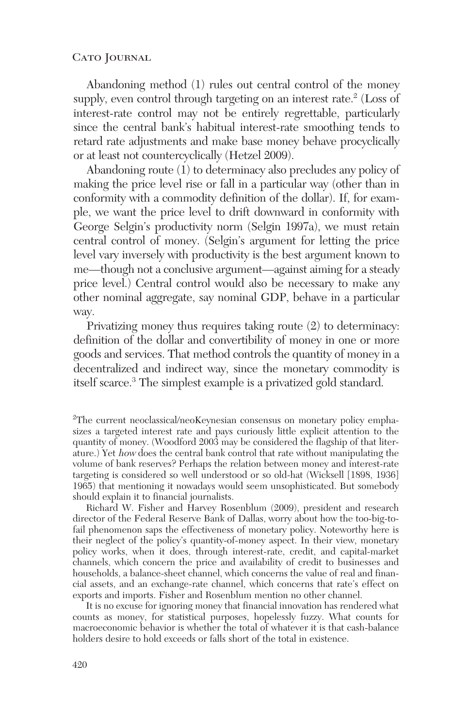Abandoning method (1) rules out central control of the money supply, even control through targeting on an interest rate.<sup>2</sup> (Loss of interest-rate control may not be entirely regrettable, particularly since the central bank's habitual interest-rate smoothing tends to retard rate adjustments and make base money behave procyclically or at least not countercyclically (Hetzel 2009).

Abandoning route (1) to determinacy also precludes any policy of making the price level rise or fall in a particular way (other than in conformity with a commodity definition of the dollar). If, for example, we want the price level to drift downward in conformity with George Selgin's productivity norm (Selgin 1997a), we must retain central control of money. (Selgin's argument for letting the price level vary inversely with productivity is the best argument known to me—though not a conclusive argument—against aiming for a steady price level.) Central control would also be necessary to make any other nominal aggregate, say nominal GDP, behave in a particular way.

Privatizing money thus requires taking route (2) to determinacy: definition of the dollar and convertibility of money in one or more goods and services. That method controls the quantity of money in a decentralized and indirect way, since the monetary commodity is itself scarce.3 The simplest example is a privatized gold standard.

<sup>2</sup>The current neoclassical/neoKeynesian consensus on monetary policy emphasizes a targeted interest rate and pays curiously little explicit attention to the quantity of money. (Woodford 2003 may be considered the flagship of that literature.) Yet how does the central bank control that rate without manipulating the volume of bank reserves? Perhaps the relation between money and interest-rate targeting is considered so well understood or so old-hat (Wicksell [1898, 1936] 1965) that mentioning it nowadays would seem unsophisticated. But somebody should explain it to financial journalists.

Richard W. Fisher and Harvey Rosenblum (2009), president and research director of the Federal Reserve Bank of Dallas, worry about how the too-big-tofail phenomenon saps the effectiveness of monetary policy. Noteworthy here is their neglect of the policy's quantity-of-money aspect. In their view, monetary policy works, when it does, through interest-rate, credit, and capital-market channels, which concern the price and availability of credit to businesses and households, a balance-sheet channel, which concerns the value of real and financial assets, and an exchange-rate channel, which concerns that rate's effect on exports and imports. Fisher and Rosenblum mention no other channel.

It is no excuse for ignoring money that financial innovation has rendered what counts as money, for statistical purposes, hopelessly fuzzy. What counts for macroeconomic behavior is whether the total of whatever it is that cash-balance holders desire to hold exceeds or falls short of the total in existence.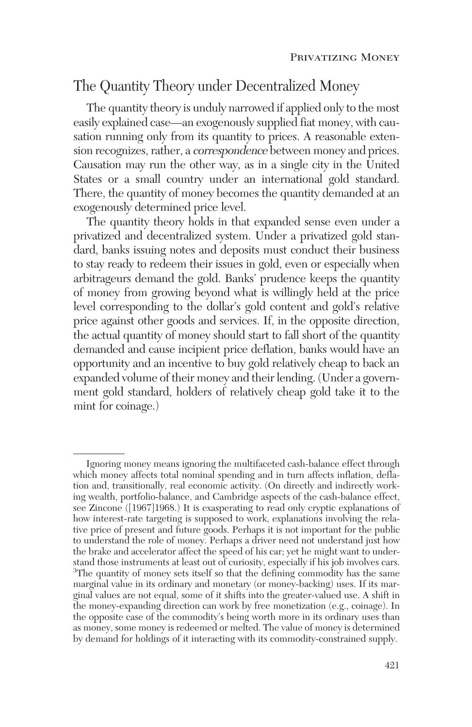# The Quantity Theory under Decentralized Money

The quantity theory is unduly narrowed if applied only to the most easily explained case—an exogenously supplied fiat money, with causation running only from its quantity to prices. A reasonable extension recognizes, rather, a correspondence between money and prices. Causation may run the other way, as in a single city in the United States or a small country under an international gold standard. There, the quantity of money becomes the quantity demanded at an exogenously determined price level.

The quantity theory holds in that expanded sense even under a privatized and decentralized system. Under a privatized gold standard, banks issuing notes and deposits must conduct their business to stay ready to redeem their issues in gold, even or especially when arbitrageurs demand the gold. Banks' prudence keeps the quantity of money from growing beyond what is willingly held at the price level corresponding to the dollar's gold content and gold's relative price against other goods and services. If, in the opposite direction, the actual quantity of money should start to fall short of the quantity demanded and cause incipient price deflation, banks would have an opportunity and an incentive to buy gold relatively cheap to back an expanded volume of their money and their lending. (Under a government gold standard, holders of relatively cheap gold take it to the mint for coinage.)

Ignoring money means ignoring the multifaceted cash-balance effect through which money affects total nominal spending and in turn affects inflation, deflation and, transitionally, real economic activity. (On directly and indirectly working wealth, portfolio-balance, and Cambridge aspects of the cash-balance effect, see Zincone ([1967]1968.) It is exasperating to read only cryptic explanations of how interest-rate targeting is supposed to work, explanations involving the relative price of present and future goods. Perhaps it is not important for the public to understand the role of money. Perhaps a driver need not understand just how the brake and accelerator affect the speed of his car; yet he might want to understand those instruments at least out of curiosity, especially if his job involves cars. <sup>3</sup>The quantity of money sets itself so that the defining commodity has the same marginal value in its ordinary and monetary (or money-backing) uses. If its marginal values are not equal, some of it shifts into the greater-valued use. A shift in the money-expanding direction can work by free monetization (e.g., coinage). In the opposite case of the commodity's being worth more in its ordinary uses than as money, some money is redeemed or melted. The value of money is determined by demand for holdings of it interacting with its commodity-constrained supply.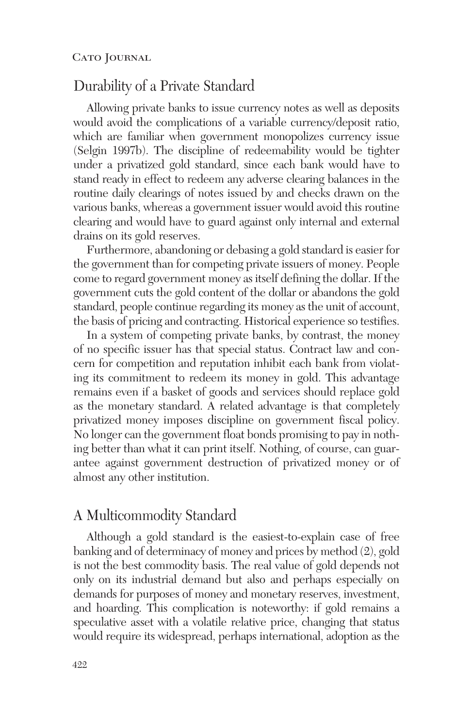### Durability of a Private Standard

Allowing private banks to issue currency notes as well as deposits would avoid the complications of a variable currency/deposit ratio, which are familiar when government monopolizes currency issue (Selgin 1997b). The discipline of redeemability would be tighter under a privatized gold standard, since each bank would have to stand ready in effect to redeem any adverse clearing balances in the routine daily clearings of notes issued by and checks drawn on the various banks, whereas a government issuer would avoid this routine clearing and would have to guard against only internal and external drains on its gold reserves.

Furthermore, abandoning or debasing a gold standard is easier for the government than for competing private issuers of money. People come to regard government money as itself defining the dollar. If the government cuts the gold content of the dollar or abandons the gold standard, people continue regarding its money as the unit of account, the basis of pricing and contracting. Historical experience so testifies.

In a system of competing private banks, by contrast, the money of no specific issuer has that special status. Contract law and concern for competition and reputation inhibit each bank from violating its commitment to redeem its money in gold. This advantage remains even if a basket of goods and services should replace gold as the monetary standard. A related advantage is that completely privatized money imposes discipline on government fiscal policy. No longer can the government float bonds promising to pay in nothing better than what it can print itself. Nothing, of course, can guarantee against government destruction of privatized money or of almost any other institution.

### A Multicommodity Standard

Although a gold standard is the easiest-to-explain case of free banking and of determinacy of money and prices by method (2), gold is not the best commodity basis. The real value of gold depends not only on its industrial demand but also and perhaps especially on demands for purposes of money and monetary reserves, investment, and hoarding. This complication is noteworthy: if gold remains a speculative asset with a volatile relative price, changing that status would require its widespread, perhaps international, adoption as the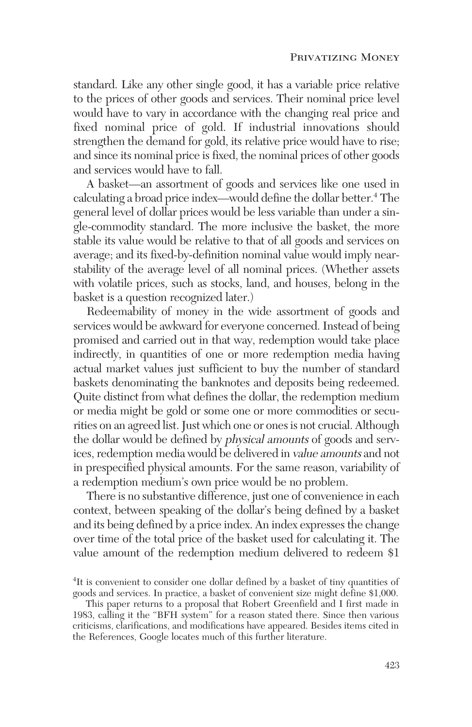standard. Like any other single good, it has a variable price relative to the prices of other goods and services. Their nominal price level would have to vary in accordance with the changing real price and fixed nominal price of gold. If industrial innovations should strengthen the demand for gold, its relative price would have to rise; and since its nominal price is fixed, the nominal prices of other goods and services would have to fall.

A basket—an assortment of goods and services like one used in calculating a broad price index—would define the dollar better.4 The general level of dollar prices would be less variable than under a single-commodity standard. The more inclusive the basket, the more stable its value would be relative to that of all goods and services on average; and its fixed-by-definition nominal value would imply nearstability of the average level of all nominal prices. (Whether assets with volatile prices, such as stocks, land, and houses, belong in the basket is a question recognized later.)

Redeemability of money in the wide assortment of goods and services would be awkward for everyone concerned. Instead of being promised and carried out in that way, redemption would take place indirectly, in quantities of one or more redemption media having actual market values just sufficient to buy the number of standard baskets denominating the banknotes and deposits being redeemed. Quite distinct from what defines the dollar, the redemption medium or media might be gold or some one or more commodities or securities on an agreed list. Just which one or ones is not crucial. Although the dollar would be defined by physical amounts of goods and services, redemption media would be delivered in value amounts and not in prespecified physical amounts. For the same reason, variability of a redemption medium's own price would be no problem.

There is no substantive difference, just one of convenience in each context, between speaking of the dollar's being defined by a basket and its being defined by a price index. An index expresses the change over time of the total price of the basket used for calculating it. The value amount of the redemption medium delivered to redeem \$1

<sup>&</sup>lt;sup>4</sup>It is convenient to consider one dollar defined by a basket of tiny quantities of goods and services. In practice, a basket of convenient size might define \$1,000.

This paper returns to a proposal that Robert Greenfield and I first made in 1983, calling it the "BFH system" for a reason stated there. Since then various criticisms, clarifications, and modifications have appeared. Besides items cited in the References, Google locates much of this further literature.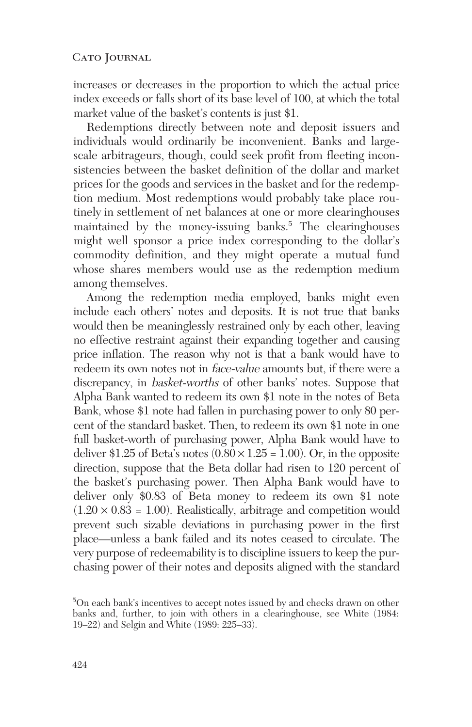increases or decreases in the proportion to which the actual price index exceeds or falls short of its base level of 100, at which the total market value of the basket's contents is just \$1.

Redemptions directly between note and deposit issuers and individuals would ordinarily be inconvenient. Banks and largescale arbitrageurs, though, could seek profit from fleeting inconsistencies between the basket definition of the dollar and market prices for the goods and services in the basket and for the redemption medium. Most redemptions would probably take place routinely in settlement of net balances at one or more clearinghouses maintained by the money-issuing banks.<sup>5</sup> The clearinghouses might well sponsor a price index corresponding to the dollar's commodity definition, and they might operate a mutual fund whose shares members would use as the redemption medium among themselves.

Among the redemption media employed, banks might even include each others' notes and deposits. It is not true that banks would then be meaninglessly restrained only by each other, leaving no effective restraint against their expanding together and causing price inflation. The reason why not is that a bank would have to redeem its own notes not in *face-value* amounts but, if there were a discrepancy, in basket-worths of other banks' notes. Suppose that Alpha Bank wanted to redeem its own \$1 note in the notes of Beta Bank, whose \$1 note had fallen in purchasing power to only 80 percent of the standard basket. Then, to redeem its own \$1 note in one full basket-worth of purchasing power, Alpha Bank would have to deliver \$1.25 of Beta's notes  $(0.80 \times 1.25 = 1.00)$ . Or, in the opposite direction, suppose that the Beta dollar had risen to 120 percent of the basket's purchasing power. Then Alpha Bank would have to deliver only \$0.83 of Beta money to redeem its own \$1 note  $(1.20 \times 0.83 = 1.00)$ . Realistically, arbitrage and competition would prevent such sizable deviations in purchasing power in the first place—unless a bank failed and its notes ceased to circulate. The very purpose of redeemability is to discipline issuers to keep the purchasing power of their notes and deposits aligned with the standard

<sup>5</sup> On each bank's incentives to accept notes issued by and checks drawn on other banks and, further, to join with others in a clearinghouse, see White (1984: 19–22) and Selgin and White (1989: 225–33).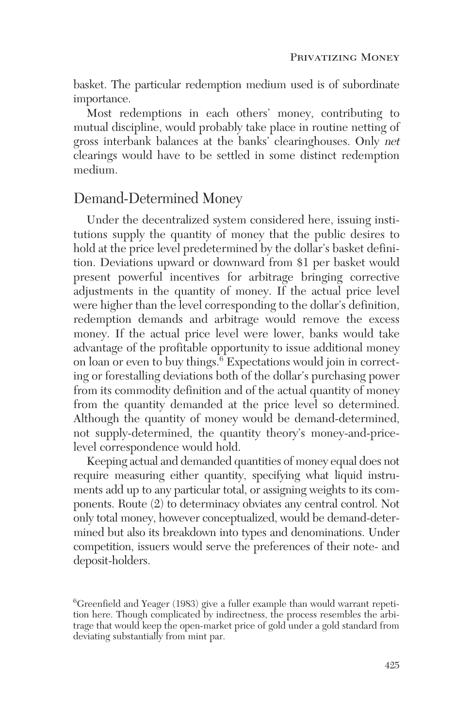basket. The particular redemption medium used is of subordinate importance.

Most redemptions in each others' money, contributing to mutual discipline, would probably take place in routine netting of gross interbank balances at the banks' clearinghouses. Only net clearings would have to be settled in some distinct redemption medium.

### Demand-Determined Money

Under the decentralized system considered here, issuing institutions supply the quantity of money that the public desires to hold at the price level predetermined by the dollar's basket definition. Deviations upward or downward from \$1 per basket would present powerful incentives for arbitrage bringing corrective adjustments in the quantity of money. If the actual price level were higher than the level corresponding to the dollar's definition, redemption demands and arbitrage would remove the excess money. If the actual price level were lower, banks would take advantage of the profitable opportunity to issue additional money on loan or even to buy things.<sup>6</sup> Expectations would join in correcting or forestalling deviations both of the dollar's purchasing power from its commodity definition and of the actual quantity of money from the quantity demanded at the price level so determined. Although the quantity of money would be demand-determined, not supply-determined, the quantity theory's money-and-pricelevel correspondence would hold.

Keeping actual and demanded quantities of money equal does not require measuring either quantity, specifying what liquid instruments add up to any particular total, or assigning weights to its components. Route (2) to determinacy obviates any central control. Not only total money, however conceptualized, would be demand-determined but also its breakdown into types and denominations. Under competition, issuers would serve the preferences of their note- and deposit-holders.

<sup>6</sup> Greenfield and Yeager (1983) give a fuller example than would warrant repetition here. Though complicated by indirectness, the process resembles the arbitrage that would keep the open-market price of gold under a gold standard from deviating substantially from mint par.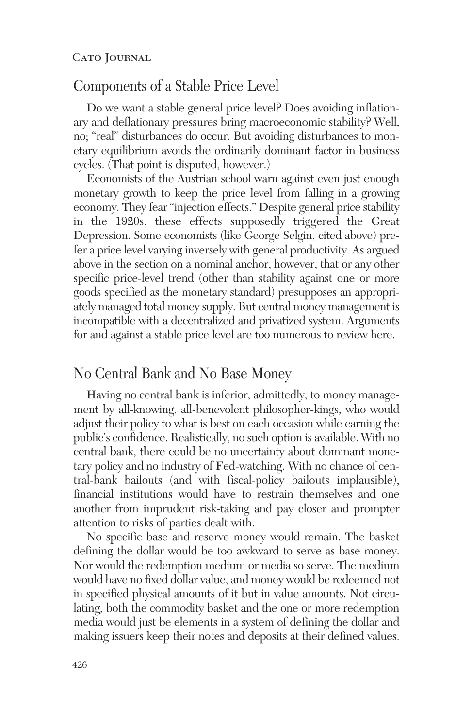### Components of a Stable Price Level

Do we want a stable general price level? Does avoiding inflationary and deflationary pressures bring macroeconomic stability? Well, no; "real" disturbances do occur. But avoiding disturbances to monetary equilibrium avoids the ordinarily dominant factor in business cycles. (That point is disputed, however.)

Economists of the Austrian school warn against even just enough monetary growth to keep the price level from falling in a growing economy. They fear "injection effects." Despite general price stability in the 1920s, these effects supposedly triggered the Great Depression. Some economists (like George Selgin, cited above) prefer a price level varying inversely with general productivity. As argued above in the section on a nominal anchor, however, that or any other specific price-level trend (other than stability against one or more goods specified as the monetary standard) presupposes an appropriately managed total money supply. But central money management is incompatible with a decentralized and privatized system. Arguments for and against a stable price level are too numerous to review here.

### No Central Bank and No Base Money

Having no central bank is inferior, admittedly, to money management by all-knowing, all-benevolent philosopher-kings, who would adjust their policy to what is best on each occasion while earning the public's confidence. Realistically, no such option is available. With no central bank, there could be no uncertainty about dominant monetary policy and no industry of Fed-watching. With no chance of central-bank bailouts (and with fiscal-policy bailouts implausible), financial institutions would have to restrain themselves and one another from imprudent risk-taking and pay closer and prompter attention to risks of parties dealt with.

No specific base and reserve money would remain. The basket defining the dollar would be too awkward to serve as base money. Nor would the redemption medium or media so serve. The medium would have no fixed dollar value, and money would be redeemed not in specified physical amounts of it but in value amounts. Not circulating, both the commodity basket and the one or more redemption media would just be elements in a system of defining the dollar and making issuers keep their notes and deposits at their defined values.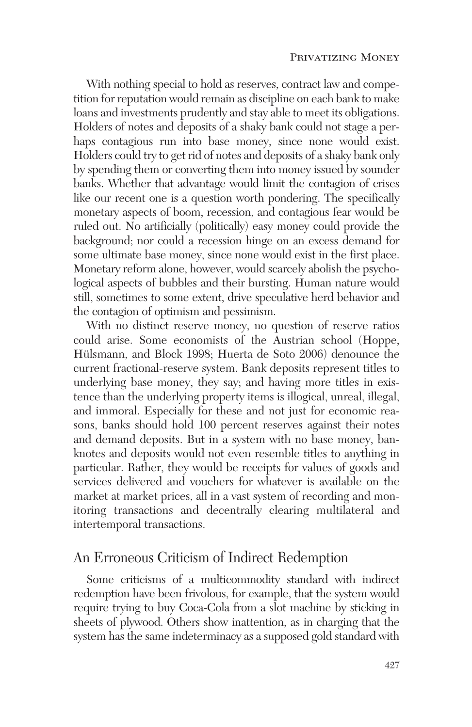With nothing special to hold as reserves, contract law and competition for reputation would remain as discipline on each bank to make loans and investments prudently and stay able to meet its obligations. Holders of notes and deposits of a shaky bank could not stage a perhaps contagious run into base money, since none would exist. Holders could try to get rid of notes and deposits of a shaky bank only by spending them or converting them into money issued by sounder banks. Whether that advantage would limit the contagion of crises like our recent one is a question worth pondering. The specifically monetary aspects of boom, recession, and contagious fear would be ruled out. No artificially (politically) easy money could provide the background; nor could a recession hinge on an excess demand for some ultimate base money, since none would exist in the first place. Monetary reform alone, however, would scarcely abolish the psychological aspects of bubbles and their bursting. Human nature would still, sometimes to some extent, drive speculative herd behavior and the contagion of optimism and pessimism.

With no distinct reserve money, no question of reserve ratios could arise. Some economists of the Austrian school (Hoppe, Hülsmann, and Block 1998; Huerta de Soto 2006) denounce the current fractional-reserve system. Bank deposits represent titles to underlying base money, they say; and having more titles in existence than the underlying property items is illogical, unreal, illegal, and immoral. Especially for these and not just for economic reasons, banks should hold 100 percent reserves against their notes and demand deposits. But in a system with no base money, banknotes and deposits would not even resemble titles to anything in particular. Rather, they would be receipts for values of goods and services delivered and vouchers for whatever is available on the market at market prices, all in a vast system of recording and monitoring transactions and decentrally clearing multilateral and intertemporal transactions.

### An Erroneous Criticism of Indirect Redemption

Some criticisms of a multicommodity standard with indirect redemption have been frivolous, for example, that the system would require trying to buy Coca-Cola from a slot machine by sticking in sheets of plywood. Others show inattention, as in charging that the system has the same indeterminacy as a supposed gold standard with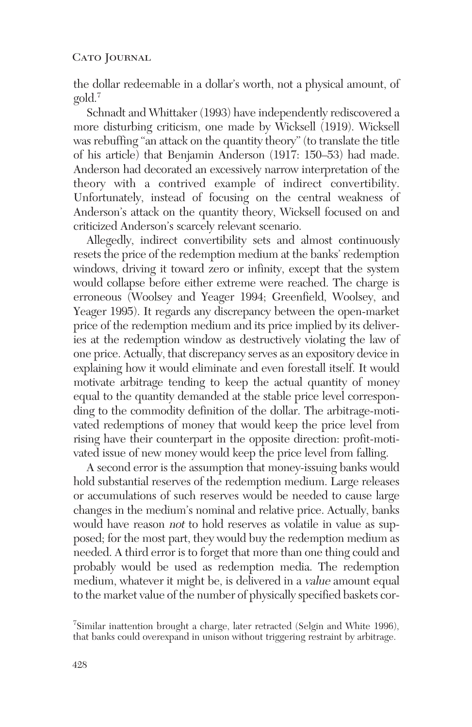the dollar redeemable in a dollar's worth, not a physical amount, of gold.7

Schnadt and Whittaker (1993) have independently rediscovered a more disturbing criticism, one made by Wicksell (1919). Wicksell was rebuffing "an attack on the quantity theory" (to translate the title of his article) that Benjamin Anderson (1917: 150–53) had made. Anderson had decorated an excessively narrow interpretation of the theory with a contrived example of indirect convertibility. Unfortunately, instead of focusing on the central weakness of Anderson's attack on the quantity theory, Wicksell focused on and criticized Anderson's scarcely relevant scenario.

Allegedly, indirect convertibility sets and almost continuously resets the price of the redemption medium at the banks' redemption windows, driving it toward zero or infinity, except that the system would collapse before either extreme were reached. The charge is erroneous (Woolsey and Yeager 1994; Greenfield, Woolsey, and Yeager 1995). It regards any discrepancy between the open-market price of the redemption medium and its price implied by its deliveries at the redemption window as destructively violating the law of one price. Actually, that discrepancy serves as an expository device in explaining how it would eliminate and even forestall itself. It would motivate arbitrage tending to keep the actual quantity of money equal to the quantity demanded at the stable price level corresponding to the commodity definition of the dollar. The arbitrage-motivated redemptions of money that would keep the price level from rising have their counterpart in the opposite direction: profit-motivated issue of new money would keep the price level from falling.

A second error is the assumption that money-issuing banks would hold substantial reserves of the redemption medium. Large releases or accumulations of such reserves would be needed to cause large changes in the medium's nominal and relative price. Actually, banks would have reason not to hold reserves as volatile in value as supposed; for the most part, they would buy the redemption medium as needed. A third error is to forget that more than one thing could and probably would be used as redemption media. The redemption medium, whatever it might be, is delivered in a value amount equal to the market value of the number of physically specified baskets cor-

<sup>7</sup> Similar inattention brought a charge, later retracted (Selgin and White 1996), that banks could overexpand in unison without triggering restraint by arbitrage.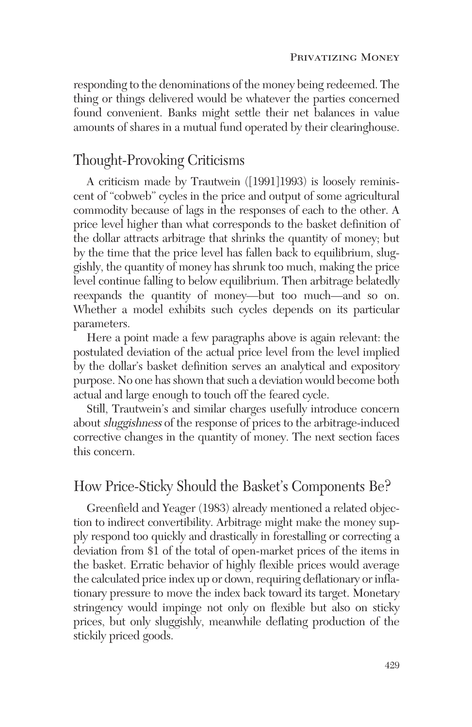responding to the denominations of the money being redeemed. The thing or things delivered would be whatever the parties concerned found convenient. Banks might settle their net balances in value amounts of shares in a mutual fund operated by their clearinghouse.

### Thought-Provoking Criticisms

A criticism made by Trautwein ([1991]1993) is loosely reminiscent of "cobweb" cycles in the price and output of some agricultural commodity because of lags in the responses of each to the other. A price level higher than what corresponds to the basket definition of the dollar attracts arbitrage that shrinks the quantity of money; but by the time that the price level has fallen back to equilibrium, sluggishly, the quantity of money has shrunk too much, making the price level continue falling to below equilibrium. Then arbitrage belatedly reexpands the quantity of money—but too much—and so on. Whether a model exhibits such cycles depends on its particular parameters.

Here a point made a few paragraphs above is again relevant: the postulated deviation of the actual price level from the level implied by the dollar's basket definition serves an analytical and expository purpose. No one has shown that such a deviation would become both actual and large enough to touch off the feared cycle.

Still, Trautwein's and similar charges usefully introduce concern about sluggishness of the response of prices to the arbitrage-induced corrective changes in the quantity of money. The next section faces this concern.

### How Price-Sticky Should the Basket's Components Be?

Greenfield and Yeager (1983) already mentioned a related objection to indirect convertibility. Arbitrage might make the money supply respond too quickly and drastically in forestalling or correcting a deviation from \$1 of the total of open-market prices of the items in the basket. Erratic behavior of highly flexible prices would average the calculated price index up or down, requiring deflationary or inflationary pressure to move the index back toward its target. Monetary stringency would impinge not only on flexible but also on sticky prices, but only sluggishly, meanwhile deflating production of the stickily priced goods.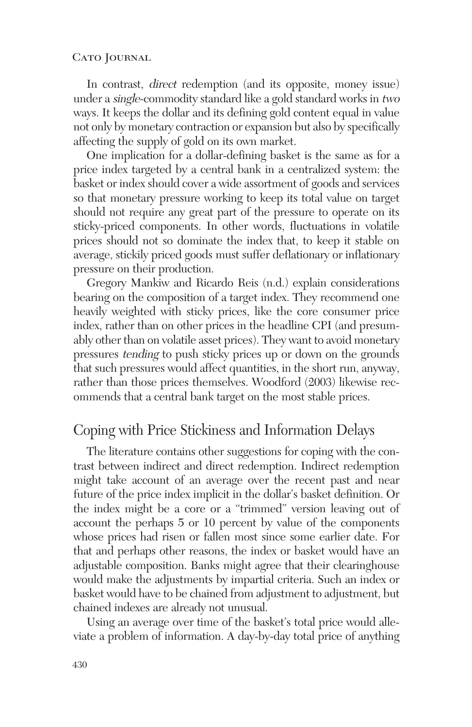In contrast, direct redemption (and its opposite, money issue) under a single-commodity standard like a gold standard works in two ways. It keeps the dollar and its defining gold content equal in value not only by monetary contraction or expansion but also by specifically affecting the supply of gold on its own market.

One implication for a dollar-defining basket is the same as for a price index targeted by a central bank in a centralized system: the basket or index should cover a wide assortment of goods and services so that monetary pressure working to keep its total value on target should not require any great part of the pressure to operate on its sticky-priced components. In other words, fluctuations in volatile prices should not so dominate the index that, to keep it stable on average, stickily priced goods must suffer deflationary or inflationary pressure on their production.

Gregory Mankiw and Ricardo Reis (n.d.) explain considerations bearing on the composition of a target index. They recommend one heavily weighted with sticky prices, like the core consumer price index, rather than on other prices in the headline CPI (and presumably other than on volatile asset prices). They want to avoid monetary pressures tending to push sticky prices up or down on the grounds that such pressures would affect quantities, in the short run, anyway, rather than those prices themselves. Woodford (2003) likewise recommends that a central bank target on the most stable prices.

### Coping with Price Stickiness and Information Delays

The literature contains other suggestions for coping with the contrast between indirect and direct redemption. Indirect redemption might take account of an average over the recent past and near future of the price index implicit in the dollar's basket definition. Or the index might be a core or a "trimmed" version leaving out of account the perhaps 5 or 10 percent by value of the components whose prices had risen or fallen most since some earlier date. For that and perhaps other reasons, the index or basket would have an adjustable composition. Banks might agree that their clearinghouse would make the adjustments by impartial criteria. Such an index or basket would have to be chained from adjustment to adjustment, but chained indexes are already not unusual.

Using an average over time of the basket's total price would alleviate a problem of information. A day-by-day total price of anything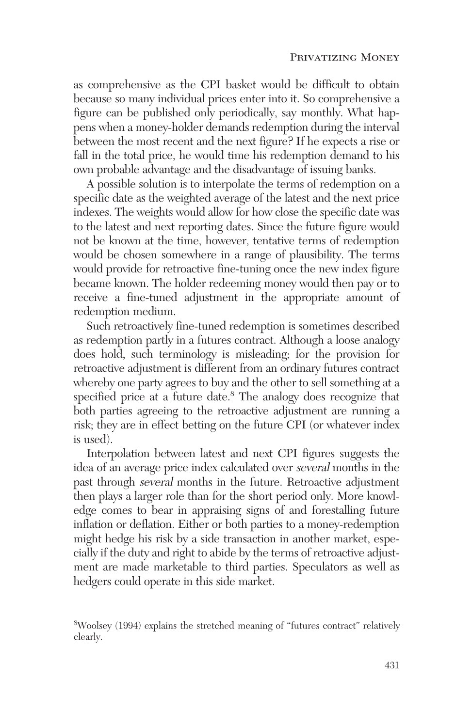as comprehensive as the CPI basket would be difficult to obtain because so many individual prices enter into it. So comprehensive a figure can be published only periodically, say monthly. What happens when a money-holder demands redemption during the interval between the most recent and the next figure? If he expects a rise or fall in the total price, he would time his redemption demand to his own probable advantage and the disadvantage of issuing banks.

A possible solution is to interpolate the terms of redemption on a specific date as the weighted average of the latest and the next price indexes. The weights would allow for how close the specific date was to the latest and next reporting dates. Since the future figure would not be known at the time, however, tentative terms of redemption would be chosen somewhere in a range of plausibility. The terms would provide for retroactive fine-tuning once the new index figure became known. The holder redeeming money would then pay or to receive a fine-tuned adjustment in the appropriate amount of redemption medium.

Such retroactively fine-tuned redemption is sometimes described as redemption partly in a futures contract. Although a loose analogy does hold, such terminology is misleading; for the provision for retroactive adjustment is different from an ordinary futures contract whereby one party agrees to buy and the other to sell something at a specified price at a future date.<sup>8</sup> The analogy does recognize that both parties agreeing to the retroactive adjustment are running a risk; they are in effect betting on the future CPI (or whatever index is used).

Interpolation between latest and next CPI figures suggests the idea of an average price index calculated over several months in the past through several months in the future. Retroactive adjustment then plays a larger role than for the short period only. More knowledge comes to bear in appraising signs of and forestalling future inflation or deflation. Either or both parties to a money-redemption might hedge his risk by a side transaction in another market, especially if the duty and right to abide by the terms of retroactive adjustment are made marketable to third parties. Speculators as well as hedgers could operate in this side market.

<sup>8</sup> Woolsey (1994) explains the stretched meaning of "futures contract" relatively clearly.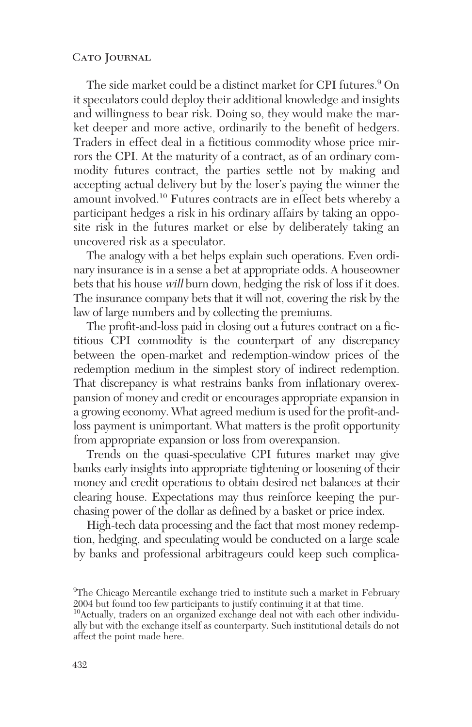The side market could be a distinct market for CPI futures.<sup>9</sup> On it speculators could deploy their additional knowledge and insights and willingness to bear risk. Doing so, they would make the market deeper and more active, ordinarily to the benefit of hedgers. Traders in effect deal in a fictitious commodity whose price mirrors the CPI. At the maturity of a contract, as of an ordinary commodity futures contract, the parties settle not by making and accepting actual delivery but by the loser's paying the winner the amount involved.10 Futures contracts are in effect bets whereby a participant hedges a risk in his ordinary affairs by taking an opposite risk in the futures market or else by deliberately taking an uncovered risk as a speculator.

The analogy with a bet helps explain such operations. Even ordinary insurance is in a sense a bet at appropriate odds. A houseowner bets that his house will burn down, hedging the risk of loss if it does. The insurance company bets that it will not, covering the risk by the law of large numbers and by collecting the premiums.

The profit-and-loss paid in closing out a futures contract on a fictitious CPI commodity is the counterpart of any discrepancy between the open-market and redemption-window prices of the redemption medium in the simplest story of indirect redemption. That discrepancy is what restrains banks from inflationary overexpansion of money and credit or encourages appropriate expansion in a growing economy. What agreed medium is used for the profit-andloss payment is unimportant. What matters is the profit opportunity from appropriate expansion or loss from overexpansion.

Trends on the quasi-speculative CPI futures market may give banks early insights into appropriate tightening or loosening of their money and credit operations to obtain desired net balances at their clearing house. Expectations may thus reinforce keeping the purchasing power of the dollar as defined by a basket or price index.

High-tech data processing and the fact that most money redemption, hedging, and speculating would be conducted on a large scale by banks and professional arbitrageurs could keep such complica-

<sup>&</sup>lt;sup>9</sup>The Chicago Mercantile exchange tried to institute such a market in February 2004 but found too few participants to justify continuing it at that time.

<sup>10</sup>Actually, traders on an organized exchange deal not with each other individually but with the exchange itself as counterparty. Such institutional details do not affect the point made here.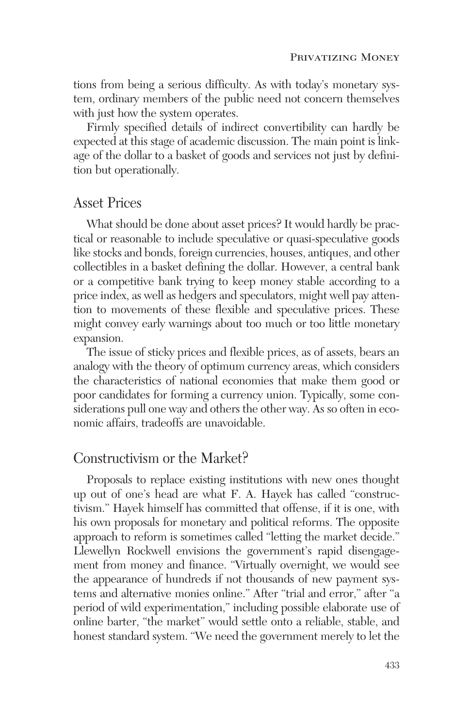tions from being a serious difficulty. As with today's monetary system, ordinary members of the public need not concern themselves with just how the system operates.

Firmly specified details of indirect convertibility can hardly be expected at this stage of academic discussion. The main point is linkage of the dollar to a basket of goods and services not just by definition but operationally.

### Asset Prices

What should be done about asset prices? It would hardly be practical or reasonable to include speculative or quasi-speculative goods like stocks and bonds, foreign currencies, houses, antiques, and other collectibles in a basket defining the dollar. However, a central bank or a competitive bank trying to keep money stable according to a price index, as well as hedgers and speculators, might well pay attention to movements of these flexible and speculative prices. These might convey early warnings about too much or too little monetary expansion.

The issue of sticky prices and flexible prices, as of assets, bears an analogy with the theory of optimum currency areas, which considers the characteristics of national economies that make them good or poor candidates for forming a currency union. Typically, some considerations pull one way and others the other way. As so often in economic affairs, tradeoffs are unavoidable.

# Constructivism or the Market?

Proposals to replace existing institutions with new ones thought up out of one's head are what F. A. Hayek has called "constructivism." Hayek himself has committed that offense, if it is one, with his own proposals for monetary and political reforms. The opposite approach to reform is sometimes called "letting the market decide." Llewellyn Rockwell envisions the government's rapid disengagement from money and finance. "Virtually overnight, we would see the appearance of hundreds if not thousands of new payment systems and alternative monies online." After "trial and error," after "a period of wild experimentation," including possible elaborate use of online barter, "the market" would settle onto a reliable, stable, and honest standard system. "We need the government merely to let the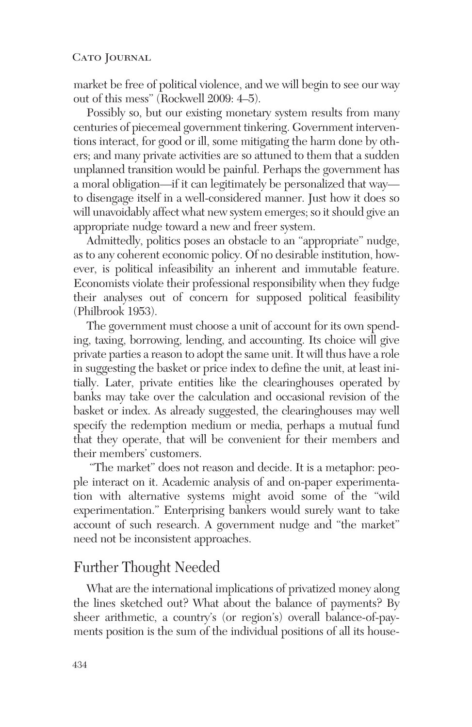market be free of political violence, and we will begin to see our way out of this mess" (Rockwell 2009: 4–5).

Possibly so, but our existing monetary system results from many centuries of piecemeal government tinkering. Government interventions interact, for good or ill, some mitigating the harm done by others; and many private activities are so attuned to them that a sudden unplanned transition would be painful. Perhaps the government has a moral obligation—if it can legitimately be personalized that way to disengage itself in a well-considered manner. Just how it does so will unavoidably affect what new system emerges; so it should give an appropriate nudge toward a new and freer system.

Admittedly, politics poses an obstacle to an "appropriate" nudge, as to any coherent economic policy. Of no desirable institution, however, is political infeasibility an inherent and immutable feature. Economists violate their professional responsibility when they fudge their analyses out of concern for supposed political feasibility (Philbrook 1953).

The government must choose a unit of account for its own spending, taxing, borrowing, lending, and accounting. Its choice will give private parties a reason to adopt the same unit. It will thus have a role in suggesting the basket or price index to define the unit, at least initially. Later, private entities like the clearinghouses operated by banks may take over the calculation and occasional revision of the basket or index. As already suggested, the clearinghouses may well specify the redemption medium or media, perhaps a mutual fund that they operate, that will be convenient for their members and their members' customers.

"The market" does not reason and decide. It is a metaphor: people interact on it. Academic analysis of and on-paper experimentation with alternative systems might avoid some of the "wild experimentation." Enterprising bankers would surely want to take account of such research. A government nudge and "the market" need not be inconsistent approaches.

# Further Thought Needed

What are the international implications of privatized money along the lines sketched out? What about the balance of payments? By sheer arithmetic, a country's (or region's) overall balance-of-payments position is the sum of the individual positions of all its house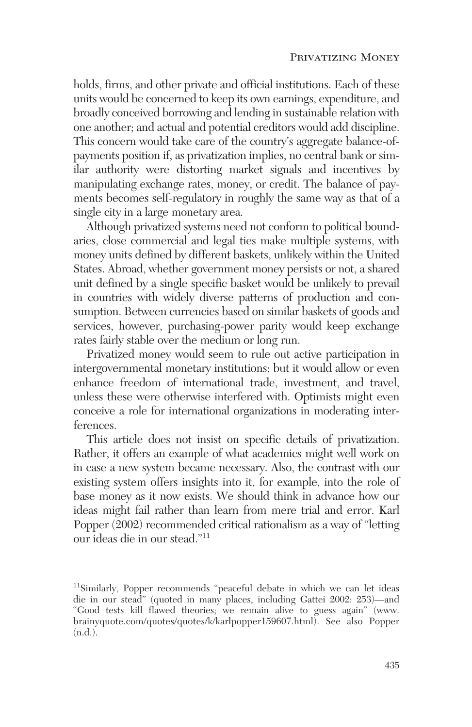holds, firms, and other private and official institutions. Each of these units would be concerned to keep its own earnings, expenditure, and broadly conceived borrowing and lending in sustainable relation with one another; and actual and potential creditors would add discipline. This concern would take care of the country's aggregate balance-ofpayments position if, as privatization implies, no central bank or similar authority were distorting market signals and incentives by manipulating exchange rates, money, or credit. The balance of payments becomes self-regulatory in roughly the same way as that of a single city in a large monetary area.

Although privatized systems need not conform to political boundaries, close commercial and legal ties make multiple systems, with money units defined by different baskets, unlikely within the United States. Abroad, whether government money persists or not, a shared unit defined by a single specific basket would be unlikely to prevail in countries with widely diverse patterns of production and consumption. Between currencies based on similar baskets of goods and services, however, purchasing-power parity would keep exchange rates fairly stable over the medium or long run.

Privatized money would seem to rule out active participation in intergovernmental monetary institutions; but it would allow or even enhance freedom of international trade, investment, and travel, unless these were otherwise interfered with. Optimists might even conceive a role for international organizations in moderating interferences.

This article does not insist on specific details of privatization. Rather, it offers an example of what academics might well work on in case a new system became necessary. Also, the contrast with our existing system offers insights into it, for example, into the role of base money as it now exists. We should think in advance how our ideas might fail rather than learn from mere trial and error. Karl Popper (2002) recommended critical rationalism as a way of "letting our ideas die in our stead."11

<sup>&</sup>lt;sup>11</sup>Similarly, Popper recommends "peaceful debate in which we can let ideas die in our stead" (quoted in many places, including Gattei 2002: 253)—and "Good tests kill flawed theories; we remain alive to guess again" (www. brainyquote.com/quotes/quotes/k/karlpopper159607.html). See also Popper (n.d.).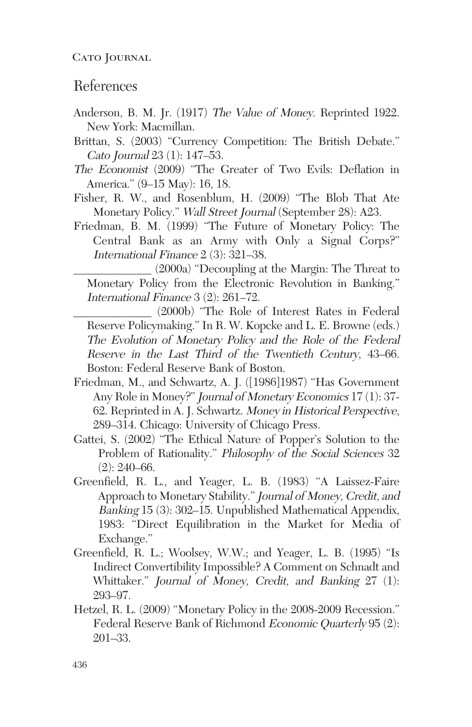### References

- Anderson, B. M. Jr. (1917) The Value of Money. Reprinted 1922. New York: Macmillan.
- Brittan, S. (2003) "Currency Competition: The British Debate." Cato Journal 23 (1): 147–53.
- The Economist (2009) "The Greater of Two Evils: Deflation in America." (9–15 May): 16, 18.
- Fisher, R. W., and Rosenblum, H. (2009) "The Blob That Ate Monetary Policy." Wall Street Journal (September 28): A23.
- Friedman, B. M. (1999) "The Future of Monetary Policy: The Central Bank as an Army with Only a Signal Corps?" International Finance 2 (3): 321–38.

\_\_\_\_\_\_\_\_\_\_\_\_\_ (2000a) "Decoupling at the Margin: The Threat to Monetary Policy from the Electronic Revolution in Banking." International Finance 3 (2): 261–72.

\_\_\_\_\_\_\_\_\_\_\_\_\_ (2000b) "The Role of Interest Rates in Federal Reserve Policymaking." In R. W. Kopcke and L. E. Browne (eds.) The Evolution of Monetary Policy and the Role of the Federal Reserve in the Last Third of the Twentieth Century, 43–66. Boston: Federal Reserve Bank of Boston.

- Friedman, M., and Schwartz, A. J. ([1986]1987) "Has Government Any Role in Money?" Journal of Monetary Economics 17 (1): 37- 62. Reprinted in A. J. Schwartz. Money in Historical Perspective, 289–314. Chicago: University of Chicago Press.
- Gattei, S. (2002) "The Ethical Nature of Popper's Solution to the Problem of Rationality." Philosophy of the Social Sciences 32  $(2): 240-66.$
- Greenfield, R. L., and Yeager, L. B. (1983) "A Laissez-Faire Approach to Monetary Stability." Journal of Money, Credit, and Banking 15 (3): 302–15. Unpublished Mathematical Appendix, 1983: "Direct Equilibration in the Market for Media of Exchange."
- Greenfield, R. L.; Woolsey, W.W.; and Yeager, L. B. (1995) "Is Indirect Convertibility Impossible? A Comment on Schnadt and Whittaker." Journal of Money, Credit, and Banking 27 (1): 293–97.
- Hetzel, R. L. (2009) "Monetary Policy in the 2008-2009 Recession." Federal Reserve Bank of Richmond Economic Quarterly 95 (2): 201–33.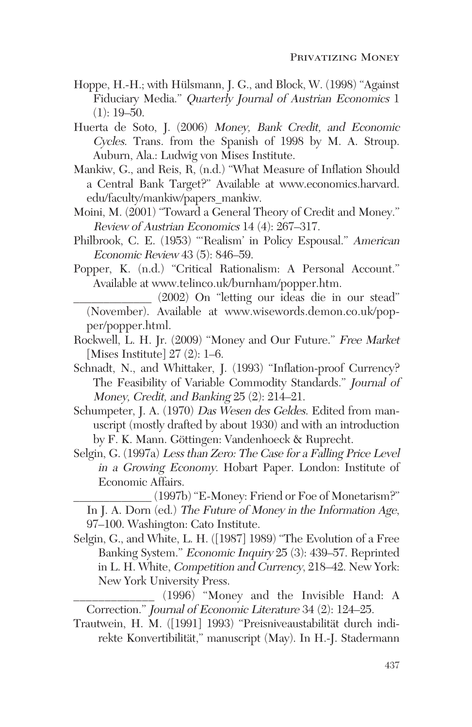- Hoppe, H.-H.; with Hülsmann, J. G., and Block, W. (1998) "Against Fiduciary Media." Quarterly Journal of Austrian Economics 1  $(1): 19-50.$
- Huerta de Soto, J. (2006) Money, Bank Credit, and Economic Cycles. Trans. from the Spanish of 1998 by M. A. Stroup. Auburn, Ala.: Ludwig von Mises Institute.
- Mankiw, G., and Reis, R, (n.d.) "What Measure of Inflation Should a Central Bank Target?" Available at www.economics.harvard. edu/faculty/mankiw/papers\_mankiw.
- Moini, M. (2001) "Toward a General Theory of Credit and Money." Review of Austrian Economics 14 (4): 267–317.
- Philbrook, C. E. (1953) "'Realism' in Policy Espousal." American Economic Review 43 (5): 846–59.
- Popper, K. (n.d.) "Critical Rationalism: A Personal Account." Available at www.telinco.uk/burnham/popper.htm.
	- \_\_\_\_\_\_\_\_\_\_\_\_\_ (2002) On "letting our ideas die in our stead" (November). Available at www.wisewords.demon.co.uk/popper/popper.html.
- Rockwell, L. H. Jr. (2009) "Money and Our Future." Free Market [Mises Institute] 27 (2): 1–6.
- Schnadt, N., and Whittaker, J. (1993) "Inflation-proof Currency? The Feasibility of Variable Commodity Standards." Journal of Money, Credit, and Banking 25 (2): 214–21.
- Schumpeter, J. A. (1970) Das Wesen des Geldes. Edited from manuscript (mostly drafted by about 1930) and with an introduction by F. K. Mann. Göttingen: Vandenhoeck & Ruprecht.
- Selgin, G. (1997a) Less than Zero: The Case for a Falling Price Level in a Growing Economy. Hobart Paper. London: Institute of Economic Affairs.
	- \_\_\_\_\_\_\_\_\_\_\_\_\_ (1997b) "E-Money: Friend or Foe of Monetarism?" In J. A. Dorn (ed.) The Future of Money in the Information Age, 97–100. Washington: Cato Institute.
- Selgin, G., and White, L. H. ([1987] 1989) "The Evolution of a Free Banking System." Economic Inquiry 25 (3): 439–57. Reprinted in L. H. White, Competition and Currency, 218–42. New York: New York University Press.

\_\_\_\_\_\_\_\_\_\_\_\_\_ (1996) "Money and the Invisible Hand: A Correction." Journal of Economic Literature 34 (2): 124–25.

Trautwein, H. M. ([1991] 1993) "Preisniveaustabilität durch indirekte Konvertibilität," manuscript (May). In H.-J. Stadermann